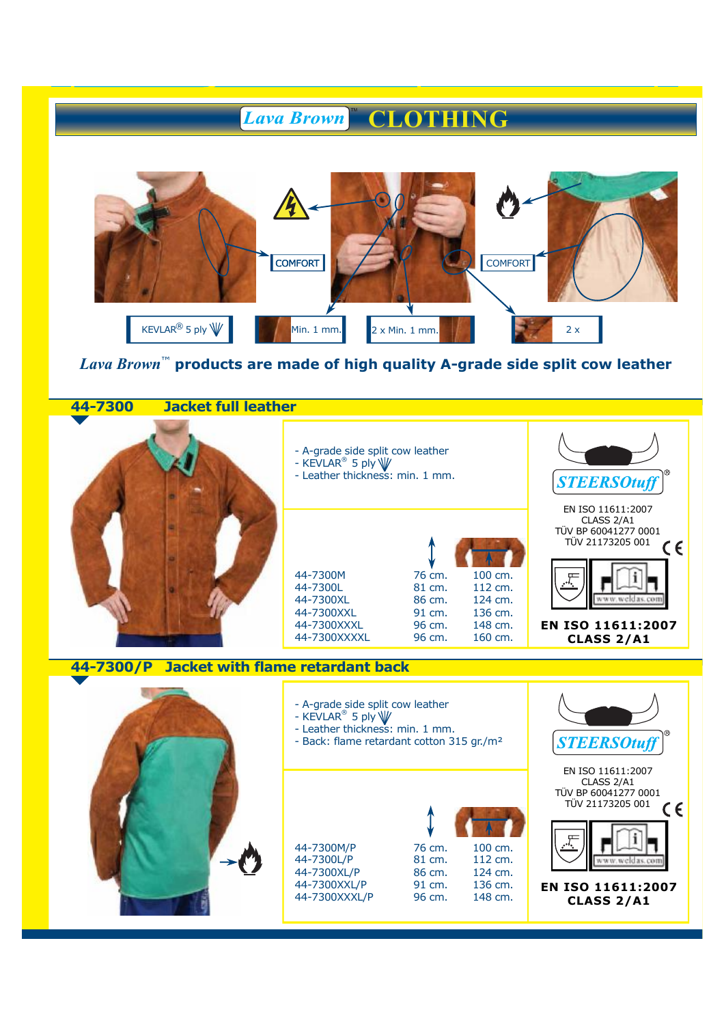## **CLOTHING** *Lava Brown*



## *Lava Brown*™ **products are made of high quality A-grade side split cow leather**

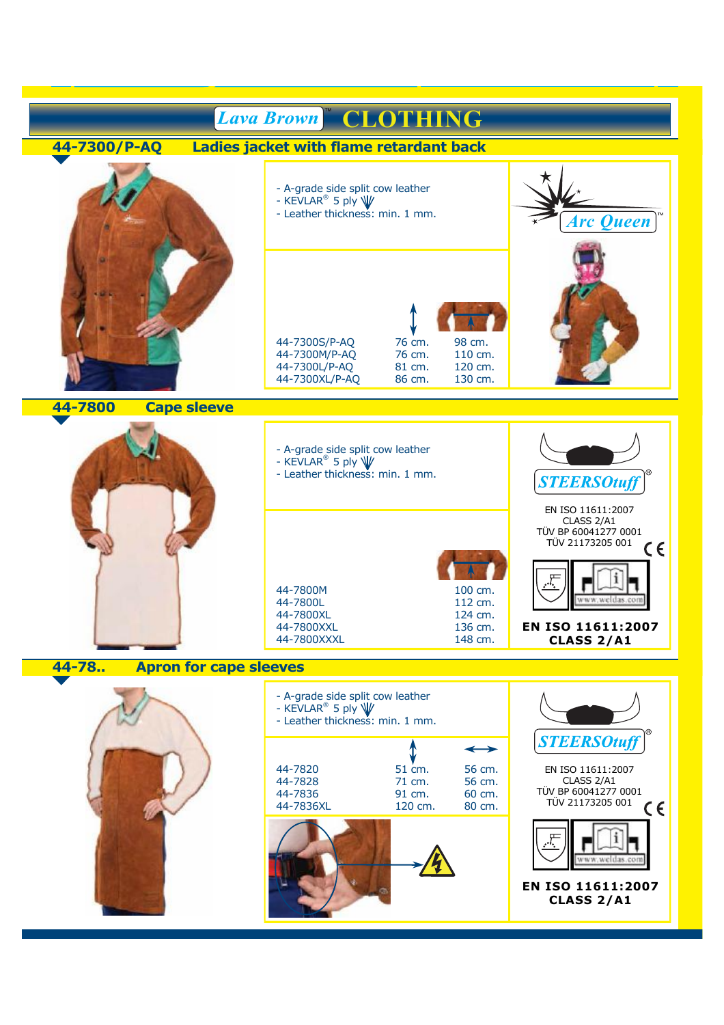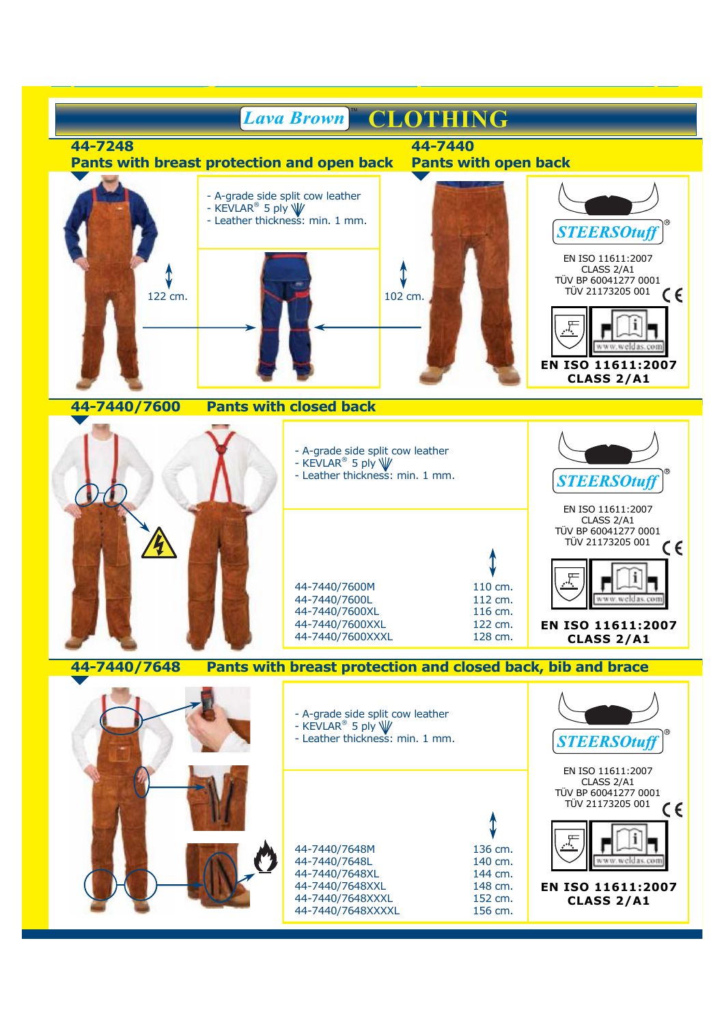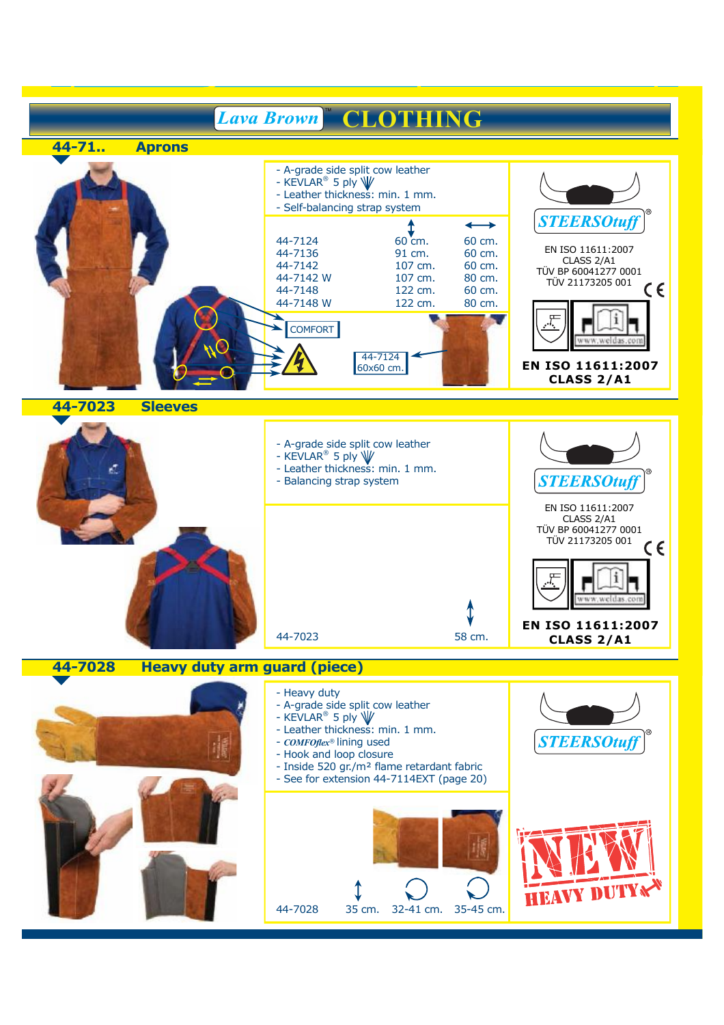